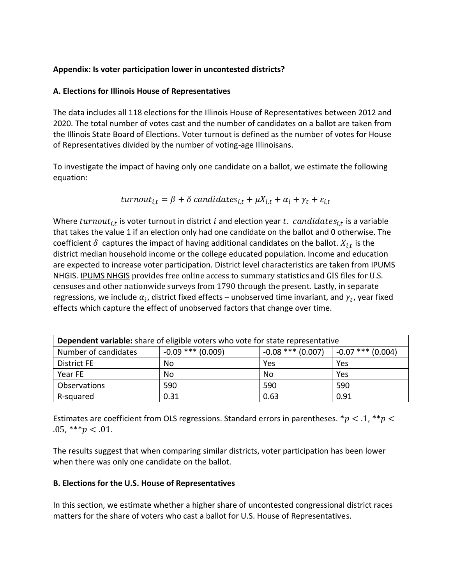## **Appendix: Is voter participation lower in uncontested districts?**

## **A. Elections for Illinois House of Representatives**

The data includes all 118 elections for the Illinois House of Representatives between 2012 and 2020. The total number of votes cast and the number of candidates on a ballot are taken from the Illinois State Board of Elections. Voter turnout is defined as the number of votes for House of Representatives divided by the number of voting-age Illinoisans.

To investigate the impact of having only one candidate on a ballot, we estimate the following equation:

turnout<sub>i,t</sub> = 
$$
\beta
$$
 +  $\delta$  candidates<sub>i,t</sub> +  $\mu X_{i,t}$  +  $\alpha_i$  +  $\gamma_t$  +  $\varepsilon_{i,t}$ 

Where  $turnout_{i,t}$  is voter turnout in district i and election year t.  $candidates_{i,t}$  is a variable that takes the value 1 if an election only had one candidate on the ballot and 0 otherwise. The coefficient  $\delta$  captures the impact of having additional candidates on the ballot.  $X_{i,t}$  is the district median household income or the college educated population. Income and education are expected to increase voter participation. District level characteristics are taken from IPUMS NHGIS. [IPUMS NHGIS](https://www.nhgis.org/about) provides free online access to summary statistics and GIS files for U.S. censuses and other nationwide surveys from 1790 through the present. Lastly, in separate regressions, we include  $\alpha_i$ , district fixed effects – unobserved time invariant, and  $\gamma_t$ , year fixed effects which capture the effect of unobserved factors that change over time.

| <b>Dependent variable:</b> share of eligible voters who vote for state representative |                     |                     |                     |  |
|---------------------------------------------------------------------------------------|---------------------|---------------------|---------------------|--|
| Number of candidates                                                                  | $-0.09$ *** (0.009) | $-0.08$ *** (0.007) | $-0.07$ *** (0.004) |  |
| <b>District FE</b>                                                                    | No                  | Yes                 | Yes                 |  |
| Year FE                                                                               | No                  | No                  | Yes                 |  |
| <b>Observations</b>                                                                   | 590                 | 590                 | 590                 |  |
| R-squared                                                                             | 0.31                | 0.63                | 0.91                |  |

Estimates are coefficient from OLS regressions. Standard errors in parentheses. \*  $p < 0.1$ , \* \*  $p < 0$ .05, \*\*\*  $p < .01$ .

The results suggest that when comparing similar districts, voter participation has been lower when there was only one candidate on the ballot.

## **B. Elections for the U.S. House of Representatives**

In this section, we estimate whether a higher share of uncontested congressional district races matters for the share of voters who cast a ballot for U.S. House of Representatives.